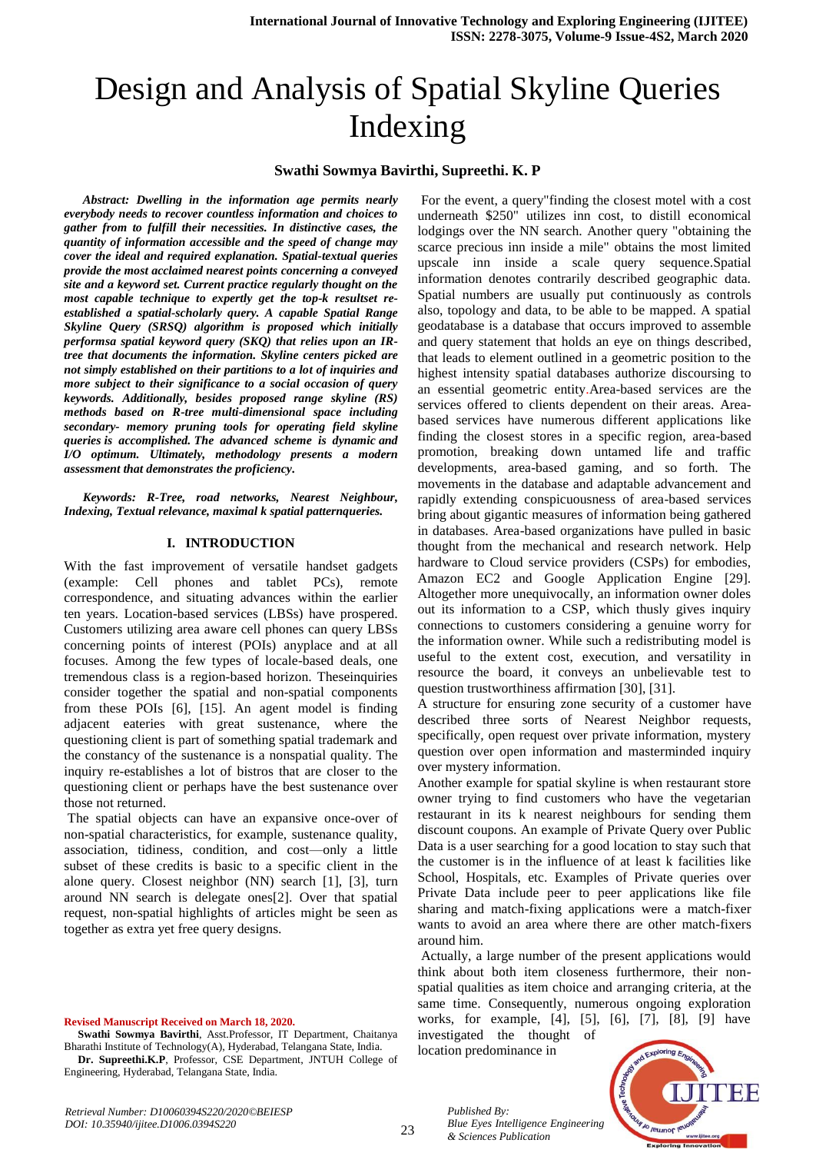# Design and Analysis of Spatial Skyline Queries Indexing

# **Swathi Sowmya Bavirthi, Supreethi. K. P**

*Abstract: Dwelling in the information age permits nearly everybody needs to recover countless information and choices to gather from to fulfill their necessities. In distinctive cases, the quantity of information accessible and the speed of change may cover the ideal and required explanation. Spatial-textual queries provide the most acclaimed nearest points concerning a conveyed site and a keyword set. Current practice regularly thought on the most capable technique to expertly get the top-k resultset reestablished a spatial-scholarly query. A capable Spatial Range Skyline Query (SRSQ) algorithm is proposed which initially performsa spatial keyword query (SKQ) that relies upon an IRtree that documents the information. Skyline centers picked are not simply established on their partitions to a lot of inquiries and more subject to their significance to a social occasion of query keywords. Additionally, besides proposed range skyline (RS) methods based on R-tree multi-dimensional space including secondary- memory pruning tools for operating field skyline queries is accomplished. The advanced scheme is dynamic and I/O optimum. Ultimately, methodology presents a modern assessment that demonstrates the proficiency.*

*Keywords: R-Tree, road networks, Nearest Neighbour, Indexing, Textual relevance, maximal k spatial patternqueries.*

## **I. INTRODUCTION**

With the fast improvement of versatile handset gadgets (example: Cell phones and tablet PCs), remote correspondence, and situating advances within the earlier ten years. Location-based services (LBSs) have prospered. Customers utilizing area aware cell phones can query LBSs concerning points of interest (POIs) anyplace and at all focuses. Among the few types of locale-based deals, one tremendous class is a region-based horizon. Theseinquiries consider together the spatial and non-spatial components from these POIs [6], [15]. An agent model is finding adjacent eateries with great sustenance, where the questioning client is part of something spatial trademark and the constancy of the sustenance is a nonspatial quality. The inquiry re-establishes a lot of bistros that are closer to the questioning client or perhaps have the best sustenance over those not returned.

The spatial objects can have an expansive once-over of non-spatial characteristics, for example, sustenance quality, association, tidiness, condition, and cost—only a little subset of these credits is basic to a specific client in the alone query. Closest neighbor (NN) search [1], [3], turn around NN search is delegate ones[2]. Over that spatial request, non-spatial highlights of articles might be seen as together as extra yet free query designs.

**Revised Manuscript Received on March 18, 2020.**

**Swathi Sowmya Bavirthi**, Asst.Professor, IT Department, Chaitanya Bharathi Institute of Technology(A), Hyderabad, Telangana State, India. **Dr. Supreethi.K.P**, Professor, CSE Department, JNTUH College of

Engineering, Hyderabad, Telangana State, India.

For the event, a query"finding the closest motel with a cost underneath \$250" utilizes inn cost, to distill economical lodgings over the NN search. Another query "obtaining the scarce precious inn inside a mile" obtains the most limited upscale inn inside a scale query sequence.Spatial information denotes contrarily described geographic data. Spatial numbers are usually put continuously as controls also, topology and data, to be able to be mapped. A spatial geodatabase is a database that occurs improved to assemble and query statement that holds an eye on things described, that leads to element outlined in a geometric position to the highest intensity spatial databases authorize discoursing to an essential geometric entity.Area-based services are the services offered to clients dependent on their areas. Areabased services have numerous different applications like finding the closest stores in a specific region, area-based promotion, breaking down untamed life and traffic developments, area-based gaming, and so forth. The movements in the database and adaptable advancement and rapidly extending conspicuousness of area-based services bring about gigantic measures of information being gathered in databases. Area-based organizations have pulled in basic thought from the mechanical and research network. Help hardware to Cloud service providers (CSPs) for embodies, Amazon EC2 and Google Application Engine [29]. Altogether more unequivocally, an information owner doles out its information to a CSP, which thusly gives inquiry connections to customers considering a genuine worry for the information owner. While such a redistributing model is useful to the extent cost, execution, and versatility in resource the board, it conveys an unbelievable test to question trustworthiness affirmation [30], [31].

A structure for ensuring zone security of a customer have described three sorts of Nearest Neighbor requests, specifically, open request over private information, mystery question over open information and masterminded inquiry over mystery information.

Another example for spatial skyline is when restaurant store owner trying to find customers who have the vegetarian restaurant in its k nearest neighbours for sending them discount coupons. An example of Private Query over Public Data is a user searching for a good location to stay such that the customer is in the influence of at least k facilities like School, Hospitals, etc. Examples of Private queries over Private Data include peer to peer applications like file sharing and match-fixing applications were a match-fixer wants to avoid an area where there are other match-fixers around him.

Actually, a large number of the present applications would think about both item closeness furthermore, their nonspatial qualities as item choice and arranging criteria, at the same time. Consequently, numerous ongoing exploration works, for example, [4], [5], [6], [7], [8], [9] have investigated the thought of

location predominance in

*& Sciences Publication* 

*Blue Eyes Intelligence Engineering* 

*Published By:*



*Retrieval Number: D10060394S220/2020©BEIESP DOI: 10.35940/ijitee.D1006.0394S220*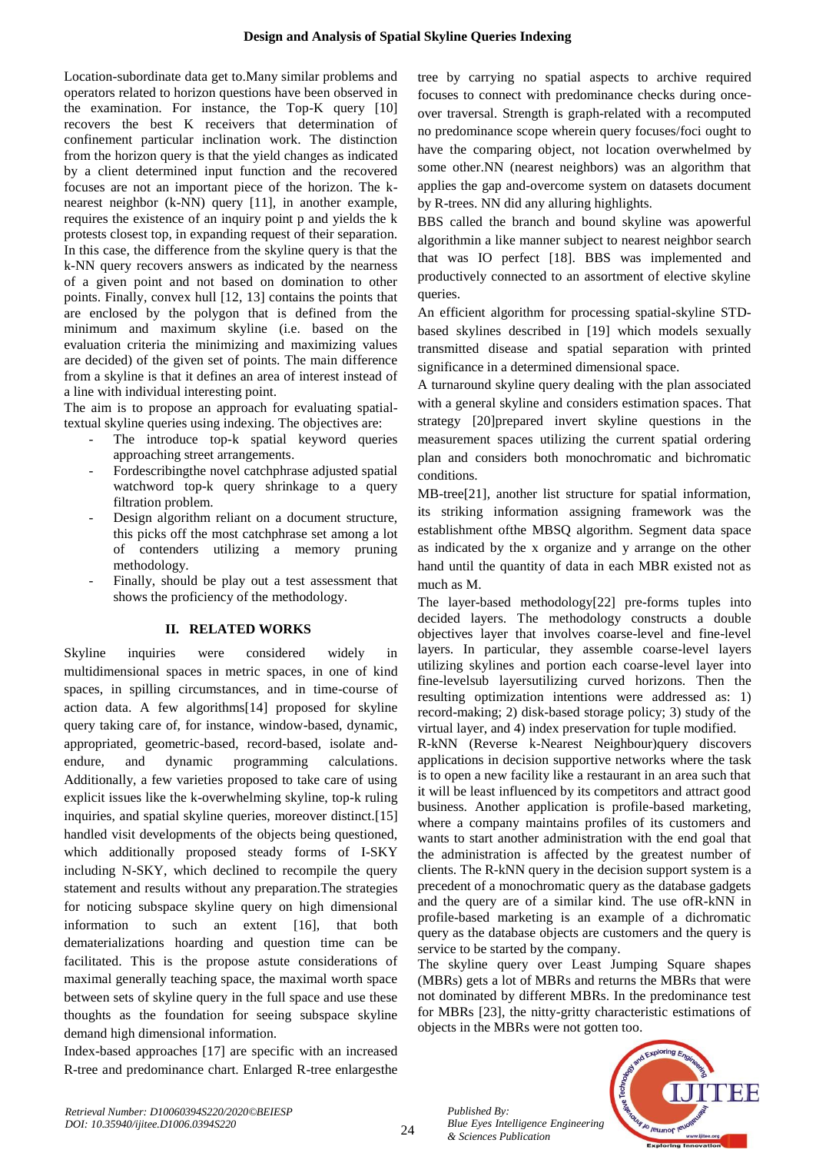Location-subordinate data get to.Many similar problems and operators related to horizon questions have been observed in the examination. For instance, the Top-K query [10] recovers the best K receivers that determination of confinement particular inclination work. The distinction from the horizon query is that the yield changes as indicated by a client determined input function and the recovered focuses are not an important piece of the horizon. The knearest neighbor (k-NN) query [11], in another example, requires the existence of an inquiry point p and yields the k protests closest top, in expanding request of their separation. In this case, the difference from the skyline query is that the k-NN query recovers answers as indicated by the nearness of a given point and not based on domination to other points. Finally, convex hull [12, 13] contains the points that are enclosed by the polygon that is defined from the minimum and maximum skyline (i.e. based on the evaluation criteria the minimizing and maximizing values are decided) of the given set of points. The main difference from a skyline is that it defines an area of interest instead of a line with individual interesting point.

The aim is to propose an approach for evaluating spatialtextual skyline queries using indexing. The objectives are:

- The introduce top-k spatial keyword queries approaching street arrangements.
- Fordescribingthe novel catchphrase adjusted spatial watchword top-k query shrinkage to a query filtration problem.
- Design algorithm reliant on a document structure, this picks off the most catchphrase set among a lot of contenders utilizing a memory pruning methodology.
- Finally, should be play out a test assessment that shows the proficiency of the methodology.

# **II. RELATED WORKS**

Skyline inquiries were considered widely in multidimensional spaces in metric spaces, in one of kind spaces, in spilling circumstances, and in time-course of action data. A few algorithms[14] proposed for skyline query taking care of, for instance, window-based, dynamic, appropriated, geometric-based, record-based, isolate andendure, and dynamic programming calculations. Additionally, a few varieties proposed to take care of using explicit issues like the k-overwhelming skyline, top-k ruling inquiries, and spatial skyline queries, moreover distinct.[15] handled visit developments of the objects being questioned, which additionally proposed steady forms of I-SKY including N-SKY, which declined to recompile the query statement and results without any preparation.The strategies for noticing subspace skyline query on high dimensional information to such an extent [16], that both dematerializations hoarding and question time can be facilitated. This is the propose astute considerations of maximal generally teaching space, the maximal worth space between sets of skyline query in the full space and use these thoughts as the foundation for seeing subspace skyline demand high dimensional information.

Index-based approaches [17] are specific with an increased R-tree and predominance chart. Enlarged R-tree enlargesthe tree by carrying no spatial aspects to archive required focuses to connect with predominance checks during onceover traversal. Strength is graph-related with a recomputed no predominance scope wherein query focuses/foci ought to have the comparing object, not location overwhelmed by some other.NN (nearest neighbors) was an algorithm that applies the gap and-overcome system on datasets document by R-trees. NN did any alluring highlights.

BBS called the branch and bound skyline was apowerful algorithmin a like manner subject to nearest neighbor search that was IO perfect [18]. BBS was implemented and productively connected to an assortment of elective skyline queries.

An efficient algorithm for processing spatial-skyline STDbased skylines described in [19] which models sexually transmitted disease and spatial separation with printed significance in a determined dimensional space.

A turnaround skyline query dealing with the plan associated with a general skyline and considers estimation spaces. That strategy [20]prepared invert skyline questions in the measurement spaces utilizing the current spatial ordering plan and considers both monochromatic and bichromatic conditions.

MB-tree[21], another list structure for spatial information, its striking information assigning framework was the establishment ofthe MBSQ algorithm. Segment data space as indicated by the x organize and y arrange on the other hand until the quantity of data in each MBR existed not as much as M.

The layer-based methodology[22] pre-forms tuples into decided layers. The methodology constructs a double objectives layer that involves coarse-level and fine-level layers. In particular, they assemble coarse-level layers utilizing skylines and portion each coarse-level layer into fine-levelsub layersutilizing curved horizons. Then the resulting optimization intentions were addressed as: 1) record-making; 2) disk-based storage policy; 3) study of the virtual layer, and 4) index preservation for tuple modified.

R-kNN (Reverse k-Nearest Neighbour)query discovers applications in decision supportive networks where the task is to open a new facility like a restaurant in an area such that it will be least influenced by its competitors and attract good business. Another application is profile-based marketing, where a company maintains profiles of its customers and wants to start another administration with the end goal that the administration is affected by the greatest number of clients. The R-kNN query in the decision support system is a precedent of a monochromatic query as the database gadgets and the query are of a similar kind. The use ofR-kNN in profile-based marketing is an example of a dichromatic query as the database objects are customers and the query is service to be started by the company.

The skyline query over Least Jumping Square shapes (MBRs) gets a lot of MBRs and returns the MBRs that were not dominated by different MBRs. In the predominance test for MBRs [23], the nitty-gritty characteristic estimations of objects in the MBRs were not gotten too.



*Published By:*

*& Sciences Publication* 

*Blue Eyes Intelligence Engineering*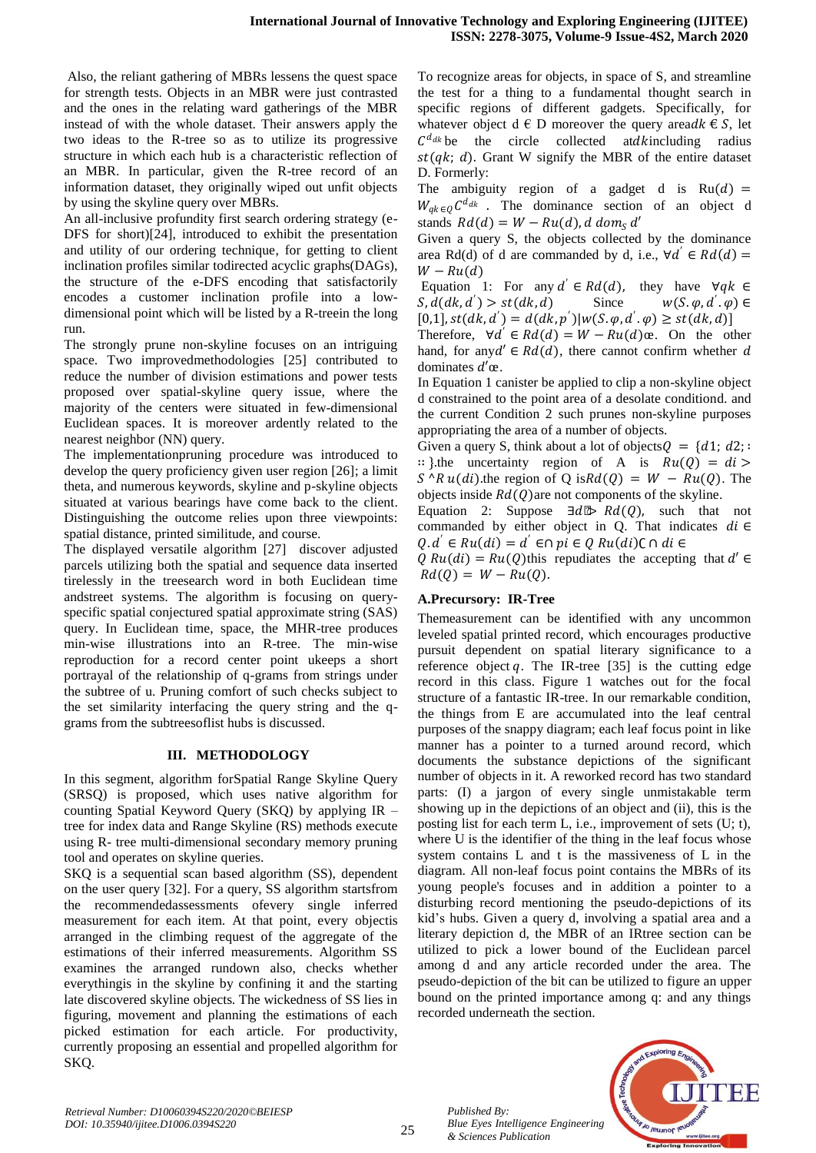Also, the reliant gathering of MBRs lessens the quest space for strength tests. Objects in an MBR were just contrasted and the ones in the relating ward gatherings of the MBR instead of with the whole dataset. Their answers apply the two ideas to the R-tree so as to utilize its progressive structure in which each hub is a characteristic reflection of an MBR. In particular, given the R-tree record of an information dataset, they originally wiped out unfit objects by using the skyline query over MBRs.

An all-inclusive profundity first search ordering strategy (e-DFS for short)[24], introduced to exhibit the presentation and utility of our ordering technique, for getting to client inclination profiles similar todirected acyclic graphs(DAGs), the structure of the e-DFS encoding that satisfactorily encodes a customer inclination profile into a lowdimensional point which will be listed by a R-treein the long run.

The strongly prune non-skyline focuses on an intriguing space. Two improvedmethodologies [25] contributed to reduce the number of division estimations and power tests proposed over spatial-skyline query issue, where the majority of the centers were situated in few-dimensional Euclidean spaces. It is moreover ardently related to the nearest neighbor (NN) query.

The implementationpruning procedure was introduced to develop the query proficiency given user region [26]; a limit theta, and numerous keywords, skyline and p-skyline objects situated at various bearings have come back to the client. Distinguishing the outcome relies upon three viewpoints: spatial distance, printed similitude, and course.

The displayed versatile algorithm [27] discover adjusted parcels utilizing both the spatial and sequence data inserted tirelessly in the treesearch word in both Euclidean time andstreet systems. The algorithm is focusing on queryspecific spatial conjectured spatial approximate string (SAS) query. In Euclidean time, space, the MHR-tree produces min-wise illustrations into an R-tree. The min-wise reproduction for a record center point ukeeps a short portrayal of the relationship of q-grams from strings under the subtree of u. Pruning comfort of such checks subject to the set similarity interfacing the query string and the qgrams from the subtreesoflist hubs is discussed.

# **III. METHODOLOGY**

In this segment, algorithm forSpatial Range Skyline Query (SRSQ) is proposed, which uses native algorithm for counting Spatial Keyword Query (SKQ) by applying IR – tree for index data and Range Skyline (RS) methods execute using R- tree multi-dimensional secondary memory pruning tool and operates on skyline queries.

SKQ is a sequential scan based algorithm (SS), dependent on the user query [32]. For a query, SS algorithm startsfrom the recommendedassessments ofevery single inferred measurement for each item. At that point, every objectis arranged in the climbing request of the aggregate of the estimations of their inferred measurements. Algorithm SS examines the arranged rundown also, checks whether everythingis in the skyline by confining it and the starting late discovered skyline objects. The wickedness of SS lies in figuring, movement and planning the estimations of each picked estimation for each article. For productivity, currently proposing an essential and propelled algorithm for SKQ.

To recognize areas for objects, in space of S, and streamline the test for a thing to a fundamental thought search in specific regions of different gadgets. Specifically, for whatever object d  $\in$  D moreover the query areadk  $\in$  S, let  $C^{d_{dk}}$  be the circle collected atd kincluding radius  $st(qk; d)$ . Grant W signify the MBR of the entire dataset D. Formerly:

The ambiguity region of a gadget d is  $Ru(d)$  =  $W_{qk} \in Q^{\mathcal{C}^{d_{dk}}}$ . The dominance section of an object d stands  $Rd(d) = W - Ru(d)$ , d dom<sub>s</sub> d'

Given a query S, the objects collected by the dominance area Rd(d) of d are commanded by d, i.e.,  $\forall d' \in Rd(d)$  =  $W - Ru(d)$ 

Equation 1: For any  $d' \in Rd(d)$ , they have  $\forall qk \in$  $S, d(dk, d') > st(dk, d)$  Since  $w(S, \varphi, d)$  $\cdot'$ . $\varphi$ )  $\in$  $[0,1], st(dk, d') = d(dk, p') | w(S, \varphi, d', \varphi) \geq st(dk, d)$ 

Therefore,  $\forall d' \in Rd(d) = W - Ru(d)\alpha$ . On the other hand, for any  $d' \in Rd(d)$ , there cannot confirm whether d dominates  $d'$ œ.

In Equation 1 canister be applied to clip a non-skyline object d constrained to the point area of a desolate conditiond. and the current Condition 2 such prunes non-skyline purposes appropriating the area of a number of objects.

Given a query S, think about a lot of objects  $Q = \{d1; d2\}$ : :: }.the uncertainty region of A is  $Ru(Q) = di$  $S^{\wedge} R u(di)$  the region of Q is $R d(Q) = W - Ru(Q)$ . The objects inside  $Rd(Q)$  are not components of the skyline.

Equation 2: Suppose  $\exists d \otimes \mathbb{R} d(Q)$ , such that not commanded by either object in Q. That indicates  $di \in$  $Q.d' \in Ru(di) = d' \in \cap pi \in Q Ru(di) \subset \cap di \in$ 

 $Q Ru(di) = Ru(Q)$ this repudiates the accepting that  $d' \in$  $Rd(Q) = W - Ru(Q)$ .

# **A.Precursory: IR-Tree**

Themeasurement can be identified with any uncommon leveled spatial printed record, which encourages productive pursuit dependent on spatial literary significance to a reference object  $q$ . The IR-tree [35] is the cutting edge record in this class. Figure 1 watches out for the focal structure of a fantastic IR-tree. In our remarkable condition, the things from E are accumulated into the leaf central purposes of the snappy diagram; each leaf focus point in like manner has a pointer to a turned around record, which documents the substance depictions of the significant number of objects in it. A reworked record has two standard parts: (I) a jargon of every single unmistakable term showing up in the depictions of an object and (ii), this is the posting list for each term L, i.e., improvement of sets (U; t), where U is the identifier of the thing in the leaf focus whose system contains L and t is the massiveness of L in the diagram. All non-leaf focus point contains the MBRs of its young people's focuses and in addition a pointer to a disturbing record mentioning the pseudo-depictions of its kid's hubs. Given a query d, involving a spatial area and a literary depiction d, the MBR of an IRtree section can be utilized to pick a lower bound of the Euclidean parcel among d and any article recorded under the area. The pseudo-depiction of the bit can be utilized to figure an upper bound on the printed importance among q: and any things recorded underneath the section.



*Published By:*

*& Sciences Publication*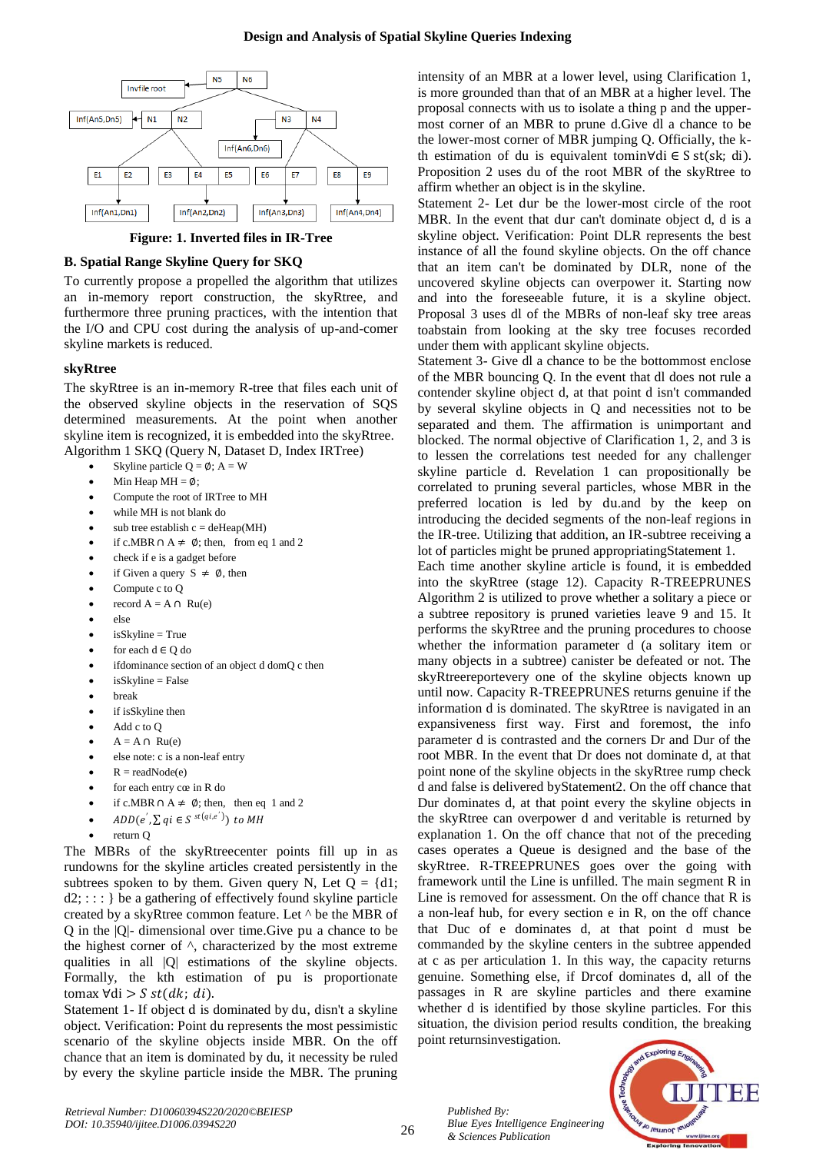# **Design and Analysis of Spatial Skyline Queries Indexing**



**Figure: 1. Inverted files in IR-Tree**

# **B. Spatial Range Skyline Query for SKQ**

To currently propose a propelled the algorithm that utilizes an in-memory report construction, the skyRtree, and furthermore three pruning practices, with the intention that the I/O and CPU cost during the analysis of up-and-comer skyline markets is reduced.

## **skyRtree**

The skyRtree is an in-memory R-tree that files each unit of the observed skyline objects in the reservation of SQS determined measurements. At the point when another skyline item is recognized, it is embedded into the skyRtree. Algorithm 1 SKQ (Query N, Dataset D, Index IRTree)

- Skyline particle  $Q = \emptyset$ ; A = W
- Min Heap MH =  $\phi$ ;
- Compute the root of IRTree to MH
- while MH is not blank do
- sub tree establish  $c = deHean(MH)$
- if c.MBR ∩ A  $\neq \emptyset$ ; then, from eq 1 and 2
- check if e is a gadget before
- if Given a query  $S \neq \emptyset$ , then
- Compute c to Q
- record  $A = A \cap Ru(e)$
- else
- isSkyline = True
- for each  $d \in O$  do
- ifdominance section of an object d domQ c then
- isSkyline = False
- break
- if isSkyline then
- Add c to Q
- $A = A \cap Ru(e)$
- else note: c is a non-leaf entry
- $R = readNode(e)$
- for each entry cœ in R do
- if c.MBR ∩ A  $\neq$  Ø; then, then eq 1 and 2
- $ADD(e', \sum qi \in S^{st(qi,e')})$  to MH
- return Q

The MBRs of the skyRtreecenter points fill up in as rundowns for the skyline articles created persistently in the subtrees spoken to by them. Given query N, Let  $Q = \{d1;$  $d2$ ; : : : } be a gathering of effectively found skyline particle created by a skyRtree common feature. Let ^ be the MBR of Q in the |Q|- dimensional over time.Give pu a chance to be the highest corner of ^, characterized by the most extreme qualities in all |Q| estimations of the skyline objects. Formally, the kth estimation of pu is proportionate tomax  $\forall di > S$  st(dk; di).

Statement 1- If object d is dominated by du, disn't a skyline object. Verification: Point du represents the most pessimistic scenario of the skyline objects inside MBR. On the off chance that an item is dominated by du, it necessity be ruled by every the skyline particle inside the MBR. The pruning intensity of an MBR at a lower level, using Clarification 1, is more grounded than that of an MBR at a higher level. The proposal connects with us to isolate a thing p and the uppermost corner of an MBR to prune d.Give dl a chance to be the lower-most corner of MBR jumping Q. Officially, the kth estimation of du is equivalent tomin∀di ∈ S st(sk; di). Proposition 2 uses du of the root MBR of the skyRtree to affirm whether an object is in the skyline.

Statement 2- Let dur be the lower-most circle of the root MBR. In the event that dur can't dominate object d, d is a skyline object. Verification: Point DLR represents the best instance of all the found skyline objects. On the off chance that an item can't be dominated by DLR, none of the uncovered skyline objects can overpower it. Starting now and into the foreseeable future, it is a skyline object. Proposal 3 uses dl of the MBRs of non-leaf sky tree areas toabstain from looking at the sky tree focuses recorded under them with applicant skyline objects.

Statement 3- Give dl a chance to be the bottommost enclose of the MBR bouncing Q. In the event that dl does not rule a contender skyline object d, at that point d isn't commanded by several skyline objects in Q and necessities not to be separated and them. The affirmation is unimportant and blocked. The normal objective of Clarification 1, 2, and 3 is to lessen the correlations test needed for any challenger skyline particle d. Revelation 1 can propositionally be correlated to pruning several particles, whose MBR in the preferred location is led by du.and by the keep on introducing the decided segments of the non-leaf regions in the IR-tree. Utilizing that addition, an IR-subtree receiving a lot of particles might be pruned appropriatingStatement 1.

Each time another skyline article is found, it is embedded into the skyRtree (stage 12). Capacity R-TREEPRUNES Algorithm 2 is utilized to prove whether a solitary a piece or a subtree repository is pruned varieties leave 9 and 15. It performs the skyRtree and the pruning procedures to choose whether the information parameter d (a solitary item or many objects in a subtree) canister be defeated or not. The skyRtreereportevery one of the skyline objects known up until now. Capacity R-TREEPRUNES returns genuine if the information d is dominated. The skyRtree is navigated in an expansiveness first way. First and foremost, the info parameter d is contrasted and the corners Dr and Dur of the root MBR. In the event that Dr does not dominate d, at that point none of the skyline objects in the skyRtree rump check d and false is delivered byStatement2. On the off chance that Dur dominates d, at that point every the skyline objects in the skyRtree can overpower d and veritable is returned by explanation 1. On the off chance that not of the preceding cases operates a Queue is designed and the base of the skyRtree. R-TREEPRUNES goes over the going with framework until the Line is unfilled. The main segment R in Line is removed for assessment. On the off chance that R is a non-leaf hub, for every section e in R, on the off chance that Duc of e dominates d, at that point d must be commanded by the skyline centers in the subtree appended at c as per articulation 1. In this way, the capacity returns genuine. Something else, if Drcof dominates d, all of the passages in R are skyline particles and there examine whether d is identified by those skyline particles. For this situation, the division period results condition, the breaking point returnsinvestigation.



*Retrieval Number: D10060394S220/2020©BEIESP DOI: 10.35940/ijitee.D1006.0394S220*

*Published By:*

*& Sciences Publication* 

*Blue Eyes Intelligence Engineering*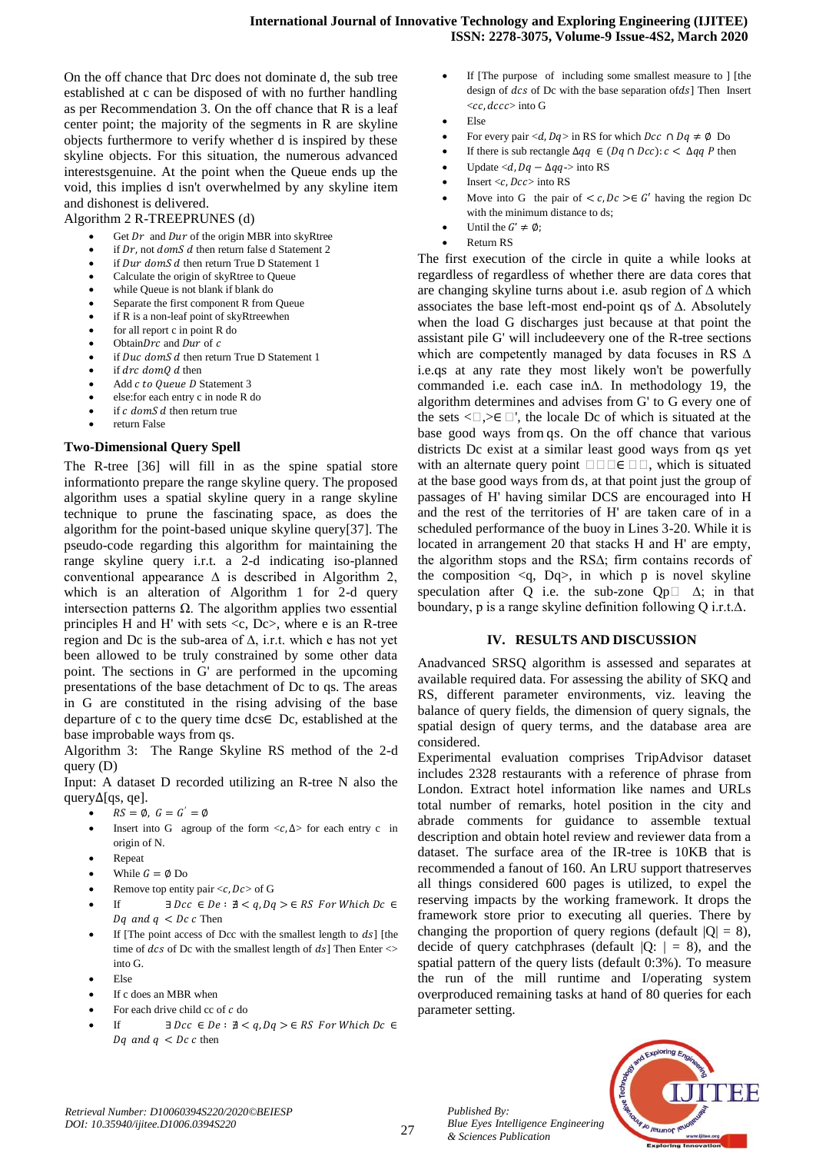On the off chance that Drc does not dominate d, the sub tree established at c can be disposed of with no further handling as per Recommendation 3. On the off chance that R is a leaf center point; the majority of the segments in R are skyline objects furthermore to verify whether d is inspired by these skyline objects. For this situation, the numerous advanced interestsgenuine. At the point when the Queue ends up the void, this implies d isn't overwhelmed by any skyline item and dishonest is delivered.

#### Algorithm 2 R-TREEPRUNES (d)

- Get  $Dr$  and  $Dur$  of the origin MBR into skyRtree
- if  $Dr$ , not  $domS$  d then return false d Statement 2
- if Dur domS d then return True D Statement 1
- Calculate the origin of skyRtree to Queue while Queue is not blank if blank do
- Separate the first component R from Queue
- if R is a non-leaf point of skyRtreewhen
- for all report c in point R do
- Obtain  $Drc$  and  $Dur$  of  $c$
- if  $Duc$  domS  $d$  then return True D Statement 1
- if  $drc$  dom $0$  d then
- Add c to Queue D Statement 3
- else:for each entry c in node R do
- if  $c \text{ dom } S d$  then return true
- return False

#### **Two-Dimensional Query Spell**

The R-tree [36] will fill in as the spine spatial store informationto prepare the range skyline query. The proposed algorithm uses a spatial skyline query in a range skyline technique to prune the fascinating space, as does the algorithm for the point-based unique skyline query[37]. The pseudo-code regarding this algorithm for maintaining the range skyline query i.r.t. a 2-d indicating iso-planned conventional appearance  $\Delta$  is described in Algorithm 2, which is an alteration of Algorithm 1 for 2-d query intersection patterns Ω. The algorithm applies two essential principles H and H' with sets  $\langle c, Dc \rangle$ , where e is an R-tree region and Dc is the sub-area of  $\Delta$ , i.r.t. which e has not yet been allowed to be truly constrained by some other data point. The sections in G' are performed in the upcoming presentations of the base detachment of Dc to qs. The areas in G are constituted in the rising advising of the base departure of c to the query time dcs∈ Dc, established at the base improbable ways from qs.

Algorithm 3: The Range Skyline RS method of the 2-d query (D)

Input: A dataset D recorded utilizing an R-tree N also the query∆[qs, qe].

- $RS = \emptyset$ ,  $G = G' = \emptyset$
- Insert into G agroup of the form  $\langle c, \Delta \rangle$  for each entry c in origin of N.
- Repeat
- While  $G = \emptyset$  Do
- Remove top entity pair  $\langle c, Dc \rangle$  of G
- If  $\exists \text{ } Dcc \in De : \nexists < q, Dq > \in RS \text{ } For \text{ } Which \text{ } Dc \in \Box$ Dq and  $q$  < Dc c Then
- If [The point access of Dcc with the smallest length to  $ds$ ] [the time of  $dcs$  of Dc with the smallest length of  $ds$ ] Then Enter  $\leq$ into G.
- Else
- If c does an MBR when
- For each drive child cc of  $c$  do
- If  $\exists \text{ } Dcc \in De : \nexists < q, Dq > \in RS \text{ } For \text{ } Which \text{ } Dc \in A$ Dq and  $q$  < Dc c then
- If [The purpose of including some smallest measure to ] [the design of  $dcs$  of Dc with the base separation of $ds$ ] Then Insert  $\ll$  ccc decessinto G
- Else
- For every pair <d,  $Dq >$  in RS for which  $Dcc \cap Dq \neq \emptyset$  Do
- If there is sub rectangle  $\Delta qq$  ∈ (Dq ∩ Dcc):  $c < \Delta qq$  P then
- Update  $\langle d, Dq \Delta qq \rangle$  into RS
- Insert  $\langle c, Dcc \rangle$  into RS
- Move into G the pair of  $\langle c, Dc \rangle \in G'$  having the region Dc with the minimum distance to ds;
- Until the  $G' \neq \emptyset$ ;
- Return RS

The first execution of the circle in quite a while looks at regardless of regardless of whether there are data cores that are changing skyline turns about i.e. asub region of ∆ which associates the base left-most end-point qs of ∆. Absolutely when the load G discharges just because at that point the assistant pile G' will includeevery one of the R-tree sections which are competently managed by data focuses in RS ∆ i.e.qs at any rate they most likely won't be powerfully commanded i.e. each case in∆. In methodology 19, the algorithm determines and advises from G' to G every one of the sets  $\langle \square, \rangle \in \square'$ , the locale Dc of which is situated at the base good ways from qs. On the off chance that various districts Dc exist at a similar least good ways from qs yet with an alternate query point  $\Box \Box \Box \in \Box \Box$ , which is situated at the base good ways from ds, at that point just the group of passages of H' having similar DCS are encouraged into H and the rest of the territories of H' are taken care of in a scheduled performance of the buoy in Lines 3-20. While it is located in arrangement 20 that stacks H and H' are empty, the algorithm stops and the RS∆; firm contains records of the composition  $\langle q, Dq \rangle$ , in which p is novel skyline speculation after Q i.e. the sub-zone  $Qp \Box \Delta$ ; in that boundary, p is a range skyline definition following Q i.r.t.∆.

#### **IV. RESULTS AND DISCUSSION**

Anadvanced SRSQ algorithm is assessed and separates at available required data. For assessing the ability of SKQ and RS, different parameter environments, viz. leaving the balance of query fields, the dimension of query signals, the spatial design of query terms, and the database area are considered.

Experimental evaluation comprises TripAdvisor dataset includes 2328 restaurants with a reference of phrase from London. Extract hotel information like names and URLs total number of remarks, hotel position in the city and abrade comments for guidance to assemble textual description and obtain hotel review and reviewer data from a dataset. The surface area of the IR-tree is 10KB that is recommended a fanout of 160. An LRU support thatreserves all things considered 600 pages is utilized, to expel the reserving impacts by the working framework. It drops the framework store prior to executing all queries. There by changing the proportion of query regions (default  $|Q| = 8$ ), decide of query catchphrases (default  $|Q:| = 8$ ), and the spatial pattern of the query lists (default 0:3%). To measure the run of the mill runtime and I/operating system overproduced remaining tasks at hand of 80 queries for each parameter setting.



27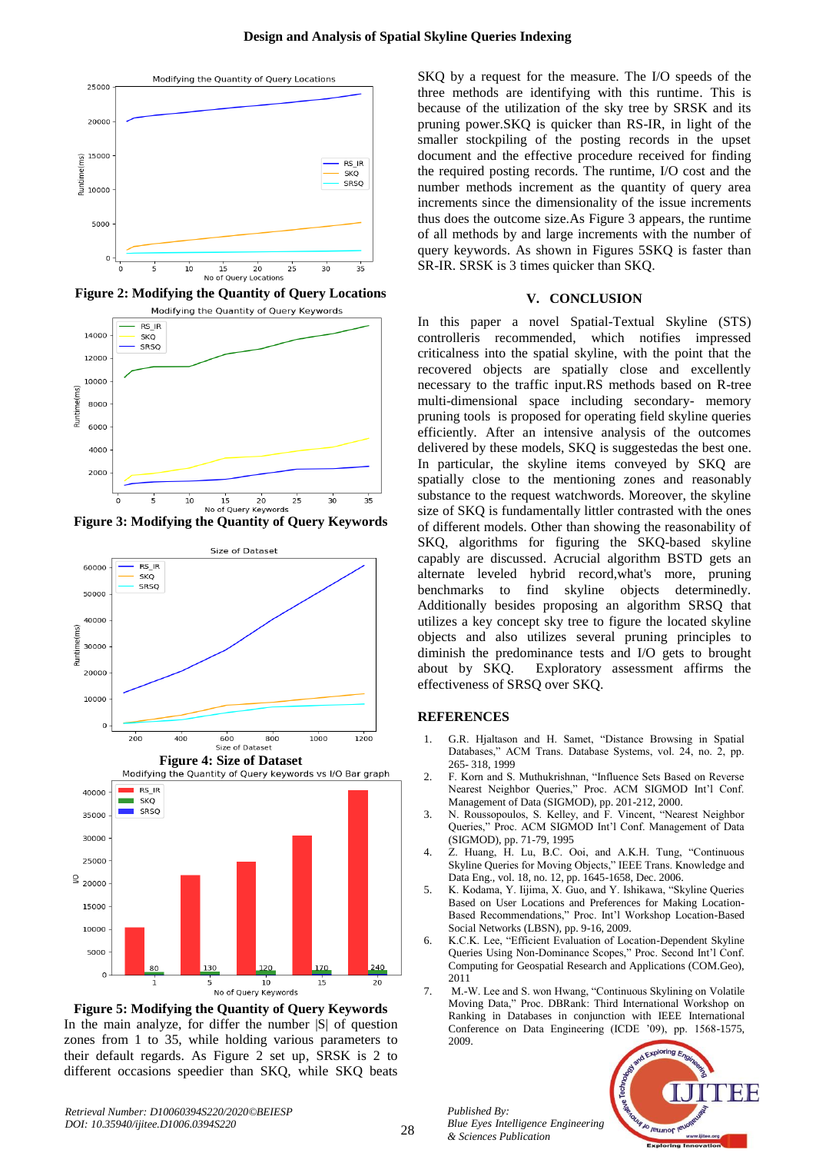

**Figure 2: Modifying the Quantity of Query Locations**



**Figure 3: Modifying the Quantity of Query Keywords**



**Figure 5: Modifying the Quantity of Query Keywords** In the main analyze, for differ the number  $|S|$  of question zones from 1 to 35, while holding various parameters to their default regards. As Figure 2 set up, SRSK is 2 to different occasions speedier than SKQ, while SKQ beats

SKQ by a request for the measure. The I/O speeds of the three methods are identifying with this runtime. This is because of the utilization of the sky tree by SRSK and its pruning power.SKQ is quicker than RS-IR, in light of the smaller stockpiling of the posting records in the upset document and the effective procedure received for finding the required posting records. The runtime, I/O cost and the number methods increment as the quantity of query area increments since the dimensionality of the issue increments thus does the outcome size.As Figure 3 appears, the runtime of all methods by and large increments with the number of query keywords. As shown in Figures 5SKQ is faster than SR-IR. SRSK is 3 times quicker than SKQ.

#### **V. CONCLUSION**

In this paper a novel Spatial-Textual Skyline (STS) controlleris recommended, which notifies impressed criticalness into the spatial skyline, with the point that the recovered objects are spatially close and excellently necessary to the traffic input.RS methods based on R-tree multi-dimensional space including secondary- memory pruning tools is proposed for operating field skyline queries efficiently. After an intensive analysis of the outcomes delivered by these models, SKQ is suggestedas the best one. In particular, the skyline items conveyed by SKQ are spatially close to the mentioning zones and reasonably substance to the request watchwords. Moreover, the skyline size of SKQ is fundamentally littler contrasted with the ones of different models. Other than showing the reasonability of SKQ, algorithms for figuring the SKQ-based skyline capably are discussed. Acrucial algorithm BSTD gets an alternate leveled hybrid record,what's more, pruning benchmarks to find skyline objects determinedly. Additionally besides proposing an algorithm SRSQ that utilizes a key concept sky tree to figure the located skyline objects and also utilizes several pruning principles to diminish the predominance tests and I/O gets to brought about by SKQ. Exploratory assessment affirms the effectiveness of SRSQ over SKQ.

#### **REFERENCES**

- 1. G.R. Hjaltason and H. Samet, "Distance Browsing in Spatial Databases," ACM Trans. Database Systems, vol. 24, no. 2, pp. 265- 318, 1999
- 2. F. Korn and S. Muthukrishnan, "Influence Sets Based on Reverse Nearest Neighbor Queries," Proc. ACM SIGMOD Int'l Conf. Management of Data (SIGMOD), pp. 201-212, 2000.
- 3. N. Roussopoulos, S. Kelley, and F. Vincent, "Nearest Neighbor Queries," Proc. ACM SIGMOD Int'l Conf. Management of Data (SIGMOD), pp. 71-79, 1995
- 4. Z. Huang, H. Lu, B.C. Ooi, and A.K.H. Tung, "Continuous Skyline Queries for Moving Objects," IEEE Trans. Knowledge and Data Eng., vol. 18, no. 12, pp. 1645-1658, Dec. 2006.
- 5. K. Kodama, Y. Iijima, X. Guo, and Y. Ishikawa, "Skyline Queries Based on User Locations and Preferences for Making Location-Based Recommendations," Proc. Int'l Workshop Location-Based Social Networks (LBSN), pp. 9-16, 2009.
- 6. K.C.K. Lee, "Efficient Evaluation of Location-Dependent Skyline Queries Using Non-Dominance Scopes," Proc. Second Int'l Conf. Computing for Geospatial Research and Applications (COM.Geo), 2011
- 7. M.-W. Lee and S. won Hwang, "Continuous Skylining on Volatile Moving Data," Proc. DBRank: Third International Workshop on Ranking in Databases in conjunction with IEEE International Conference on Data Engineering (ICDE '09), pp. 1568-1575, 2009.



*Published By:*

*& Sciences Publication* 

*Blue Eyes Intelligence Engineering*